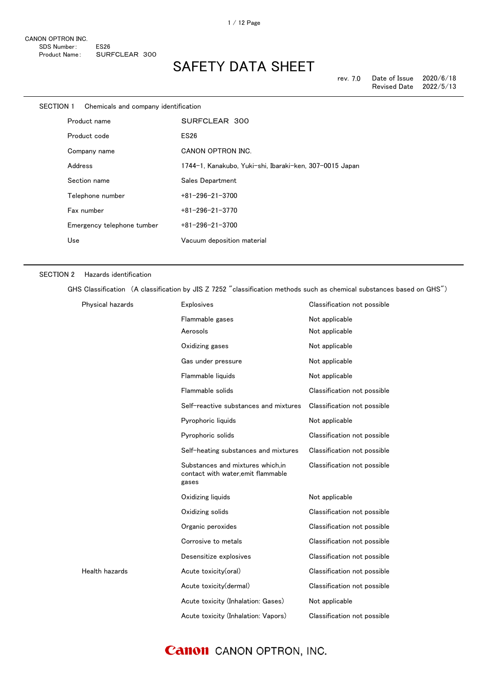| SECTION 1 | Chemicals and company identification |                                                         |
|-----------|--------------------------------------|---------------------------------------------------------|
|           | Product name                         | SURFCLEAR 300                                           |
|           | Product code                         | <b>ES26</b>                                             |
|           | Company name                         | CANON OPTRON INC.                                       |
|           | Address                              | 1744-1, Kanakubo, Yuki-shi, Ibaraki-ken, 307-0015 Japan |
|           | Section name                         | Sales Department                                        |
|           | Telephone number                     | $+81 - 296 - 21 - 3700$                                 |
|           | Fax number                           | $+81 - 296 - 21 - 3770$                                 |
|           | Emergency telephone tumber           | $+81 - 296 - 21 - 3700$                                 |
|           | Use                                  | Vacuum deposition material                              |
|           |                                      |                                                         |

#### SECTION 2 Hazards identification

GHS Classification (A classification by JIS Z 7252 "classification methods such as chemical substances based on GHS")

| Physical hazards | <b>Explosives</b>                                                               | Classification not possible |
|------------------|---------------------------------------------------------------------------------|-----------------------------|
|                  | Flammable gases                                                                 | Not applicable              |
|                  | Aerosols                                                                        | Not applicable              |
|                  | Oxidizing gases                                                                 | Not applicable              |
|                  | Gas under pressure                                                              | Not applicable              |
|                  | Flammable liquids                                                               | Not applicable              |
|                  | Flammable solids                                                                | Classification not possible |
|                  | Self-reactive substances and mixtures                                           | Classification not possible |
|                  | Pyrophoric liquids                                                              | Not applicable              |
|                  | Pyrophoric solids                                                               | Classification not possible |
|                  | Self-heating substances and mixtures                                            | Classification not possible |
|                  | Substances and mixtures which.in<br>contact with water, emit flammable<br>gases | Classification not possible |
|                  | Oxidizing liquids                                                               | Not applicable              |
|                  | Oxidizing solids                                                                | Classification not possible |
|                  | Organic peroxides                                                               | Classification not possible |
|                  | Corrosive to metals                                                             | Classification not possible |
|                  | Desensitize explosives                                                          | Classification not possible |
| Health hazards   | Acute toxicity(oral)                                                            | Classification not possible |
|                  | Acute toxicity(dermal)                                                          | Classification not possible |
|                  | Acute toxicity (Inhalation: Gases)                                              | Not applicable              |
|                  | Acute toxicity (Inhalation: Vapors)                                             | Classification not possible |

#### **Canon** CANON OPTRON, INC.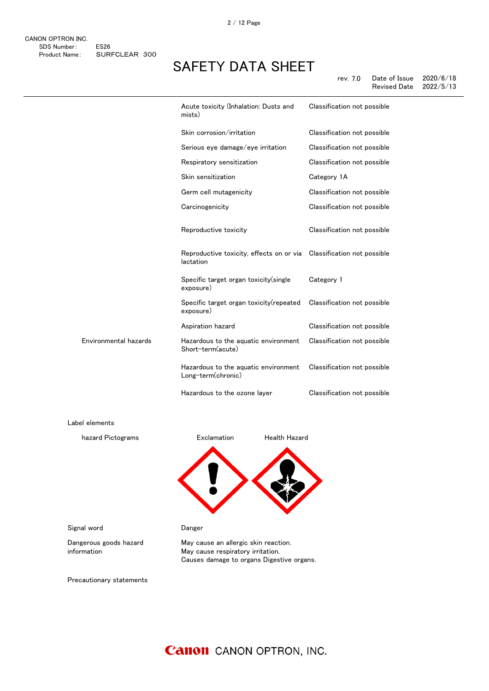|                       | Acute toxicity (Inhalation: Dusts and<br>mists)            | Classification not possible |
|-----------------------|------------------------------------------------------------|-----------------------------|
|                       | Skin corrosion/irritation                                  | Classification not possible |
|                       | Serious eye damage/eye irritation                          | Classification not possible |
|                       | Respiratory sensitization                                  | Classification not possible |
|                       | Skin sensitization                                         | Category 1A                 |
|                       | Germ cell mutagenicity                                     | Classification not possible |
|                       | Carcinogenicity                                            | Classification not possible |
|                       | Reproductive toxicity                                      | Classification not possible |
|                       | Reproductive toxicity, effects on or via<br>lactation      | Classification not possible |
|                       | Specific target organ toxicity (single<br>exposure)        | Category 1                  |
|                       | Specific target organ toxicity (repeated<br>exposure)      | Classification not possible |
|                       | Aspiration hazard                                          | Classification not possible |
| Environmental hazards | Hazardous to the aquatic environment<br>Short-term(acute)  | Classification not possible |
|                       | Hazardous to the aquatic environment<br>Long-term(chronic) | Classification not possible |
|                       | Hazardous to the ozone layer                               | Classification not possible |

Label elements

感嘆符 健康有害性 hazard Pictograms **Exclamation** Health Hazard

Signal word **Danger** 

Dangerous goods hazard information

May cause an allergic skin reaction. May cause respiratory irritation. Causes damage to organs Digestive organs.

Precautionary statements

#### **Canon** CANON OPTRON, INC.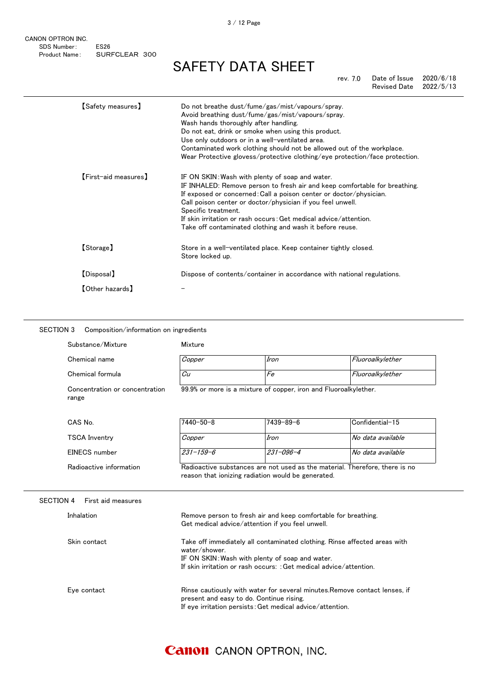CANON OPTRON INC. SDS Number: ES26 Product Name: SURFCLEAR 300

# SAFETY DATA SHEET

rev. 7.0 Date of Issue 2020/6/18 Revised Date

|            | 【Safety measures】    | Do not breathe dust/fume/gas/mist/vapours/spray.<br>Avoid breathing dust/fume/gas/mist/vapours/spray.<br>Wash hands thoroughly after handling.<br>Do not eat, drink or smoke when using this product.<br>Use only outdoors or in a well-ventilated area.<br>Contaminated work clothing should not be allowed out of the workplace.<br>Wear Protective glovess/protective clothing/eye protection/face protection.        |
|------------|----------------------|--------------------------------------------------------------------------------------------------------------------------------------------------------------------------------------------------------------------------------------------------------------------------------------------------------------------------------------------------------------------------------------------------------------------------|
|            | [First-aid measures] | IF ON SKIN: Wash with plenty of soap and water.<br>IF INHALED: Remove person to fresh air and keep comfortable for breathing.<br>If exposed or concerned: Call a poison center or doctor/physician.<br>Call poison center or doctor/physician if you feel unwell.<br>Specific treatment.<br>If skin irritation or rash occurs: Get medical advice/attention.<br>Take off contaminated clothing and wash it before reuse. |
| [Storage]  |                      | Store in a well-ventilated place. Keep container tightly closed.<br>Store locked up.                                                                                                                                                                                                                                                                                                                                     |
| [Disposal] |                      | Dispose of contents/container in accordance with national regulations.                                                                                                                                                                                                                                                                                                                                                   |
|            | 【Other hazards】      |                                                                                                                                                                                                                                                                                                                                                                                                                          |

#### SECTION 3 Composition/information on ingredients

| Substance/Mixture                       | Mixture                                                                                                                                                                                                             |                                                                  |                                                                             |  |
|-----------------------------------------|---------------------------------------------------------------------------------------------------------------------------------------------------------------------------------------------------------------------|------------------------------------------------------------------|-----------------------------------------------------------------------------|--|
| Chemical name                           | Copper                                                                                                                                                                                                              | Iron                                                             | Fluoroalkylether                                                            |  |
| Chemical formula                        | Cu                                                                                                                                                                                                                  | Fe                                                               | Fluoroalkylether                                                            |  |
| Concentration or concentration<br>range |                                                                                                                                                                                                                     | 99.9% or more is a mixture of copper, iron and Fluoroalkylether. |                                                                             |  |
| CAS No.                                 | 7440-50-8                                                                                                                                                                                                           | $7439 - 89 - 6$                                                  | Confidential-15                                                             |  |
| <b>TSCA Inventry</b>                    | Copper                                                                                                                                                                                                              | Iron                                                             | No data available                                                           |  |
| EINECS number                           | $231 - 159 - 6$                                                                                                                                                                                                     | $231 - 096 - 4$                                                  | No data available                                                           |  |
| Radioactive information                 |                                                                                                                                                                                                                     | reason that ionizing radiation would be generated.               | Radioactive substances are not used as the material. Therefore, there is no |  |
| <b>SECTION 4</b><br>First aid measures  |                                                                                                                                                                                                                     |                                                                  |                                                                             |  |
| Inhalation                              | Remove person to fresh air and keep comfortable for breathing.<br>Get medical advice/attention if you feel unwell.                                                                                                  |                                                                  |                                                                             |  |
| Skin contact                            | Take off immediately all contaminated clothing. Rinse affected areas with<br>water/shower.<br>IF ON SKIN: Wash with plenty of soap and water.<br>If skin irritation or rash occurs: : Get medical advice/attention. |                                                                  |                                                                             |  |
| Eye contact                             | Rinse cautiously with water for several minutes. Remove contact lenses, if<br>present and easy to do. Continue rising.<br>If eye irritation persists: Get medical advice/attention.                                 |                                                                  |                                                                             |  |

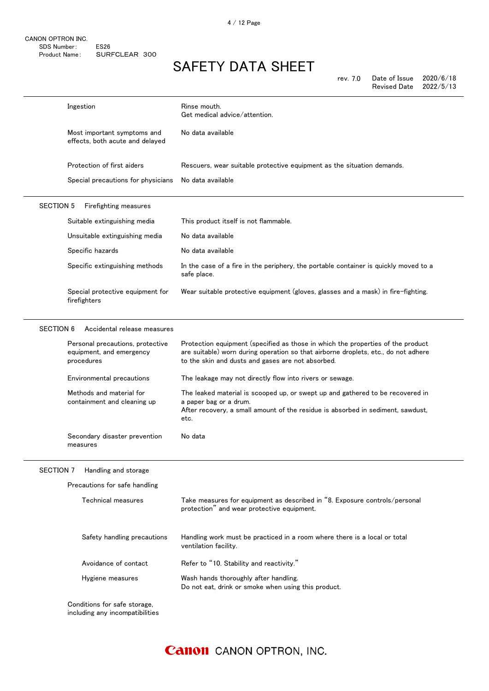rev. 7.0 Date of Issue 2020/6/18

|                  |                                                                            | <b>Revised Date</b><br>2022/5/13                                                                                                                                                                                           |
|------------------|----------------------------------------------------------------------------|----------------------------------------------------------------------------------------------------------------------------------------------------------------------------------------------------------------------------|
|                  | Ingestion                                                                  | Rinse mouth.<br>Get medical advice/attention.                                                                                                                                                                              |
|                  | Most important symptoms and<br>effects, both acute and delayed             | No data available                                                                                                                                                                                                          |
|                  | Protection of first aiders                                                 | Rescuers, wear suitable protective equipment as the situation demands.                                                                                                                                                     |
|                  | Special precautions for physicians                                         | No data available                                                                                                                                                                                                          |
| <b>SECTION 5</b> | Firefighting measures                                                      |                                                                                                                                                                                                                            |
|                  | Suitable extinguishing media                                               | This product itself is not flammable.                                                                                                                                                                                      |
|                  | Unsuitable extinguishing media                                             | No data available                                                                                                                                                                                                          |
|                  | Specific hazards                                                           | No data available                                                                                                                                                                                                          |
|                  | Specific extinguishing methods                                             | In the case of a fire in the periphery, the portable container is quickly moved to a<br>safe place.                                                                                                                        |
|                  | Special protective equipment for<br>firefighters                           | Wear suitable protective equipment (gloves, glasses and a mask) in fire-fighting.                                                                                                                                          |
| <b>SECTION 6</b> | Accidental release measures                                                |                                                                                                                                                                                                                            |
|                  | Personal precautions, protective<br>equipment, and emergency<br>procedures | Protection equipment (specified as those in which the properties of the product<br>are suitable) worn during operation so that airborne droplets, etc., do not adhere<br>to the skin and dusts and gases are not absorbed. |
|                  | Environmental precautions                                                  | The leakage may not directly flow into rivers or sewage.                                                                                                                                                                   |
|                  | Methods and material for<br>containment and cleaning up                    | The leaked material is scooped up, or swept up and gathered to be recovered in<br>a paper bag or a drum.<br>After recovery, a small amount of the residue is absorbed in sediment, sawdust,<br>etc.                        |
|                  | Secondary disaster prevention<br>measures                                  | No data                                                                                                                                                                                                                    |
| <b>SECTION 7</b> | Handling and storage                                                       |                                                                                                                                                                                                                            |
|                  | Precautions for safe handling                                              |                                                                                                                                                                                                                            |
|                  | Technical measures                                                         | Take measures for equipment as described in "8. Exposure controls/personal<br>protection" and wear protective equipment.                                                                                                   |
|                  | Safety handling precautions                                                | Handling work must be practiced in a room where there is a local or total<br>ventilation facility.                                                                                                                         |
|                  | Avoidance of contact                                                       | Refer to "10. Stability and reactivity."                                                                                                                                                                                   |
|                  | Hygiene measures                                                           | Wash hands thoroughly after handling.<br>Do not eat, drink or smoke when using this product.                                                                                                                               |
|                  | Conditions for safe storage,<br>including any incompatibilities            |                                                                                                                                                                                                                            |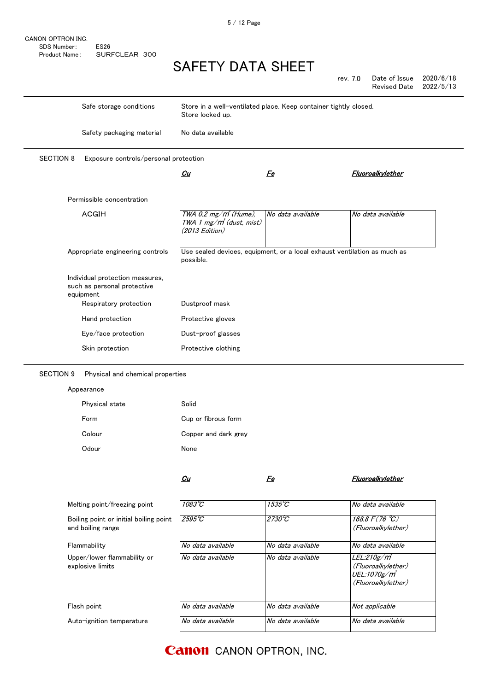|                  |                                                                             |                                                                                       | ______________    |          |                     |           |
|------------------|-----------------------------------------------------------------------------|---------------------------------------------------------------------------------------|-------------------|----------|---------------------|-----------|
|                  |                                                                             |                                                                                       |                   | rev. 7.0 | Date of Issue       | 2020/6/18 |
|                  |                                                                             |                                                                                       |                   |          | <b>Revised Date</b> | 2022/5/13 |
|                  | Safe storage conditions                                                     | Store in a well-ventilated place. Keep container tightly closed.<br>Store locked up.  |                   |          |                     |           |
|                  | Safety packaging material                                                   | No data available                                                                     |                   |          |                     |           |
| <b>SECTION 8</b> | Exposure controls/personal protection                                       |                                                                                       |                   |          |                     |           |
|                  |                                                                             | Cu                                                                                    | <u>Fe</u>         |          | Fluoroalkylether    |           |
|                  | Permissible concentration                                                   |                                                                                       |                   |          |                     |           |
|                  | <b>ACGIH</b>                                                                | $TWA$ 0.2 mg/ $m^3$ (Hume),<br>TWA 1 mg/m <sup>3</sup> (dust, mist)<br>(2013 Edition) | No data available |          | No data available   |           |
|                  | Appropriate engineering controls                                            | Use sealed devices, equipment, or a local exhaust ventilation as much as<br>possible. |                   |          |                     |           |
|                  | Individual protection measures,<br>such as personal protective<br>equipment |                                                                                       |                   |          |                     |           |
|                  | Respiratory protection                                                      | Dustproof mask                                                                        |                   |          |                     |           |
|                  | Hand protection                                                             | Protective gloves                                                                     |                   |          |                     |           |
|                  | Eye/face protection                                                         | Dust-proof glasses                                                                    |                   |          |                     |           |

#### SECTION 9 Physical and chemical properties

|  |  |  |  |  |  |  | Appearance |
|--|--|--|--|--|--|--|------------|
|--|--|--|--|--|--|--|------------|

| Physical state | Solid                |
|----------------|----------------------|
| Form           | Cup or fibrous form  |
| Colour         | Copper and dark grey |
| Odour          | None                 |

Skin protection **Protective clothing** 

 $\mathcal{C}u$ 

Fe Fluoroalkylether

| Melting point/freezing point                                | $1083^{\circ}C$   | $1535^{\circ}C$   | No data available                                                                   |
|-------------------------------------------------------------|-------------------|-------------------|-------------------------------------------------------------------------------------|
| Boiling point or initial boiling point<br>and boiling range | $2595^{\circ}$ C  | $2730^{\circ}C$   | 168.8 $F(76^{\circ}C)$<br>(Fluoroalkylether)                                        |
| Flammability                                                | No data available | No data available | No data available                                                                   |
| Upper/lower flammability or<br>explosive limits             | No data available | No data available | <i>LEL:210g/m</i><br>(Fluoroalkylether)<br><i>UEL:1070g/m</i><br>(Fluoroalkylether) |
| Flash point                                                 | No data available | No data available | Not applicable                                                                      |
| Auto-ignition temperature                                   | No data available | No data available | No data available                                                                   |

#### **Canon** CANON OPTRON, INC.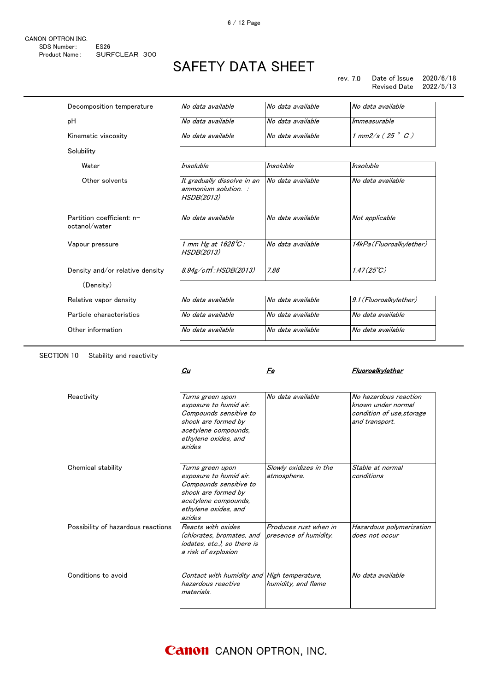rev. 7.0 Date of Issue 2020/6/18 Revised Date 2022/5/13

| Decomposition temperature                  | No data available                                                 | No data available                         | No data available           |
|--------------------------------------------|-------------------------------------------------------------------|-------------------------------------------|-----------------------------|
| рH                                         | No data available                                                 | No data available                         | Immeasurable                |
| Kinematic viscosity                        | No data available                                                 | No data available                         | $1$ mm2/s (25 $^{\circ}$ C) |
| Solubility                                 |                                                                   |                                           |                             |
| Water                                      | Insoluble                                                         | <b>Insoluble</b>                          | Insoluble                   |
| Other solvents                             | It gradually dissolve in an<br>ammonium solution. :<br>HSDB(2013) | $\overline{\mathsf{a}}$ No data available | No data available           |
| Partition coefficient: n-<br>octanol/water | No data available                                                 | No data available                         | Not applicable              |
| Vapour pressure                            | 1 mm Hg at $1628^{\circ}$ C:<br><i>HSDB(2013)</i>                 | No data available                         | 14kPa (Fluoroalkylether)    |
| Density and/or relative density            | $8.94$ g $/cm$ : HSDB $(2013)$                                    | 7.86                                      | $1.47(25^{\circ}\text{C})$  |
| (Density)                                  |                                                                   |                                           |                             |
| Relative vapor density                     | No data available                                                 | No data available                         | 9.1 (Fluoroalkylether)      |
| Particle characteristics                   | No data available                                                 | No data available                         | No data available           |
| Other information                          | No data available                                                 | No data available                         | No data available           |

SECTION 10 Stability and reactivity

 $\mathcal{L}u$ 

#### Fe Fluoroalkylether

| Reactivity                         | Turns green upon<br>exposure to humid air.<br>Compounds sensitive to<br>shock are formed by<br>acetylene compounds,<br>ethylene oxides, and<br>azides | No data available                              | No hazardous reaction<br>known under normal<br>condition of use, storage<br>and transport. |
|------------------------------------|-------------------------------------------------------------------------------------------------------------------------------------------------------|------------------------------------------------|--------------------------------------------------------------------------------------------|
| Chemical stability                 | Turns green upon<br>exposure to humid air.<br>Compounds sensitive to<br>shock are formed by<br>acetylene compounds,<br>ethylene oxides, and<br>azides | Slowly oxidizes in the<br>atmosphere.          | Stable at normal<br>conditions                                                             |
| Possibility of hazardous reactions | Reacts with oxides<br>(chlorates, bromates, and<br>iodates, etc.), so there is<br>a risk of explosion                                                 | Produces rust when in<br>presence of humidity. | Hazardous polymerization<br>does not occur                                                 |
| Conditions to avoid                | Contact with humidity and High temperature,<br>hazardous reactive<br>materials.                                                                       | humidity, and flame                            | No data available                                                                          |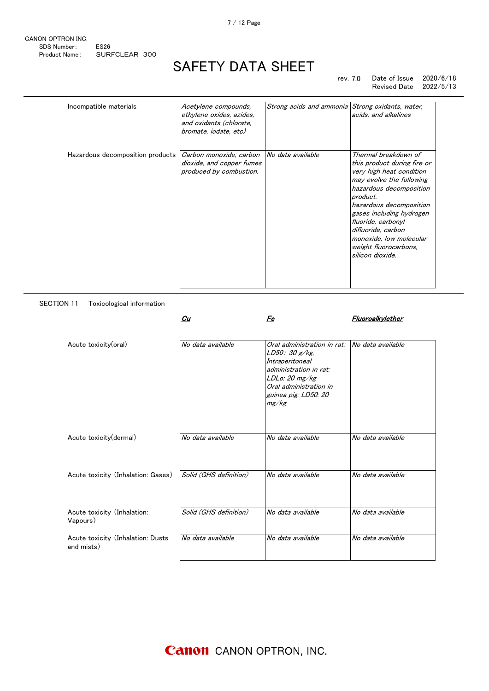| CANON OPTRON INC. |               |  |
|-------------------|---------------|--|
| SDS Number:       | <b>FS26</b>   |  |
| Product Name:     | SURFCLEAR 300 |  |

#### rev. 7.0 Date of Issue 2020/6/18 Revised Date 2022/5/13

| Incompatible materials           | Acetylene compounds,<br>ethylene oxides, azides,<br>and oxidants (chlorate,<br>bromate, iodate, etc) | Strong acids and ammonia Strong oxidants, water, | acids, and alkalines                                                                                                                                                                                                                                                                                                          |
|----------------------------------|------------------------------------------------------------------------------------------------------|--------------------------------------------------|-------------------------------------------------------------------------------------------------------------------------------------------------------------------------------------------------------------------------------------------------------------------------------------------------------------------------------|
| Hazardous decomposition products | Carbon monoxide, carbon<br>dioxide, and copper fumes<br>produced by combustion.                      | No data available                                | Thermal breakdown of<br>this product during fire or<br>very high heat condition<br>may evolve the following<br>hazardous decomposition<br>product.<br>hazardous decomposition<br>gases including hydrogen<br>fluoride, carbonyl<br>difluoride, carbon<br>monoxide, low molecular<br>weight fluorocarbons,<br>silicon dioxide. |

SECTION 11 Toxicological information

|                                                 | Cu                     | Fe                                                                                                                                                                      | Fluoroalkylether  |
|-------------------------------------------------|------------------------|-------------------------------------------------------------------------------------------------------------------------------------------------------------------------|-------------------|
| Acute toxicity(oral)                            | No data available      | Oral administration in rat:<br>LD50: 30 g/kg,<br>Intraperitoneal<br>administration in rat:<br>LDLo: 20 mg/kg<br>Oral administration in<br>guinea pig: LD50: 20<br>mg/kg | No data available |
| Acute toxicity(dermal)                          | No data available      | No data available                                                                                                                                                       | No data available |
| Acute toxicity (Inhalation: Gases)              | Solid (GHS definition) | No data available                                                                                                                                                       | No data available |
| Acute toxicity (Inhalation:<br>Vapours)         | Solid (GHS definition) | No data available                                                                                                                                                       | No data available |
| Acute toxicity (Inhalation: Dusts<br>and mists) | No data available      | No data available                                                                                                                                                       | No data available |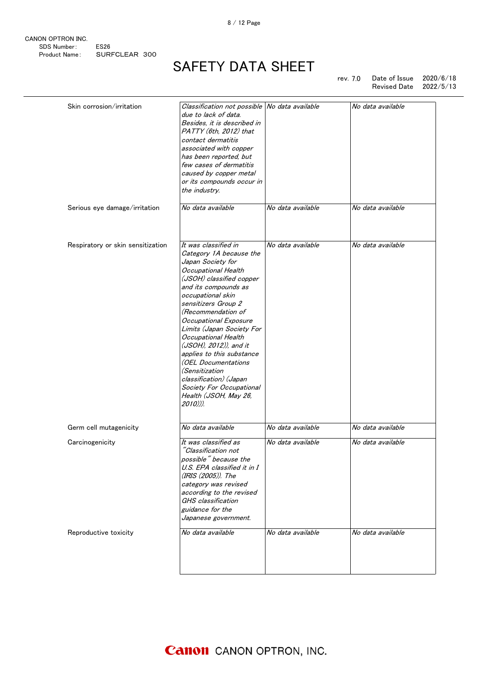CANON OPTRON INC. SDS Number: ES26<br>Product Name: SUR SURFCLEAR 300

## SAFETY DATA SHEET

rev. 7.0 Date of Issue 2020/6/18 Revised Date 2022/5/13

| Skin corrosion/irritation         | Classification not possible No data available<br>due to lack of data. |                   | No data available |
|-----------------------------------|-----------------------------------------------------------------------|-------------------|-------------------|
|                                   | Besides, it is described in<br>PATTY (6th, 2012) that                 |                   |                   |
|                                   | contact dermatitis                                                    |                   |                   |
|                                   | associated with copper                                                |                   |                   |
|                                   | has been reported, but<br>few cases of dermatitis                     |                   |                   |
|                                   | caused by copper metal                                                |                   |                   |
|                                   | or its compounds occur in                                             |                   |                   |
|                                   | the industry.                                                         |                   |                   |
| Serious eye damage/irritation     | No data available                                                     | No data available | No data available |
| Respiratory or skin sensitization | It was classified in                                                  | No data available | No data available |
|                                   | Category 1A because the                                               |                   |                   |
|                                   | Japan Society for                                                     |                   |                   |
|                                   | Occupational Health                                                   |                   |                   |
|                                   | (JSOH) classified copper                                              |                   |                   |
|                                   | and its compounds as                                                  |                   |                   |
|                                   | occupational skin                                                     |                   |                   |
|                                   | sensitizers Group 2<br>(Recommendation of                             |                   |                   |
|                                   | Occupational Exposure                                                 |                   |                   |
|                                   | Limits (Japan Society For                                             |                   |                   |
|                                   | Occupational Health                                                   |                   |                   |
|                                   | (JSOH), 2012)), and it                                                |                   |                   |
|                                   | applies to this substance                                             |                   |                   |
|                                   | (OEL Documentations                                                   |                   |                   |
|                                   | <i>(Sensitization</i>                                                 |                   |                   |
|                                   | classification) (Japan<br>Society For Occupational                    |                   |                   |
|                                   | Health (JSOH, May 26,<br>2010))).                                     |                   |                   |
| Germ cell mutagenicity            | No data available                                                     | No data available | No data available |
| Carcinogenicity                   | It was classified as                                                  | No data available | No data available |
|                                   | "Classification not                                                   |                   |                   |
|                                   | possible" because the                                                 |                   |                   |
|                                   | U.S. EPA classified it in I<br>(IRIS (2005)). The                     |                   |                   |
|                                   | category was revised                                                  |                   |                   |
|                                   | according to the revised                                              |                   |                   |
|                                   | GHS classification                                                    |                   |                   |
|                                   | guidance for the                                                      |                   |                   |
|                                   | Japanese government.                                                  |                   |                   |
| Reproductive toxicity             | No data available                                                     | No data available | No data available |
|                                   |                                                                       |                   |                   |
|                                   |                                                                       |                   |                   |
|                                   |                                                                       |                   |                   |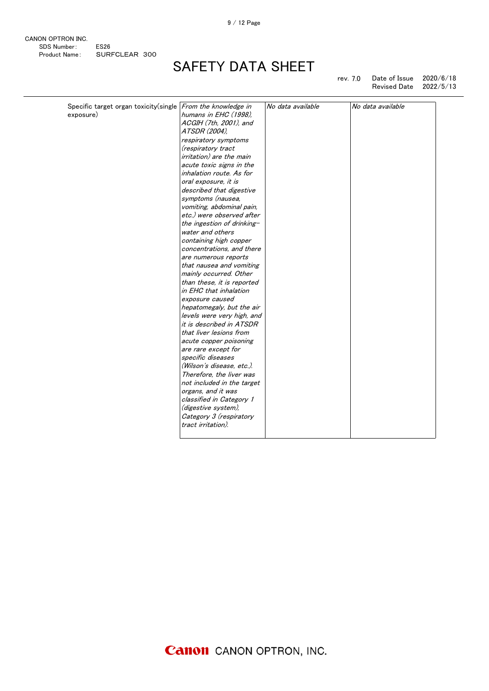9 / 12 Page

| CANON OPTRON INC. |                  |  |
|-------------------|------------------|--|
| SDS Number:       | FS <sub>26</sub> |  |
| Product Name:     | SURFCLEAR 300    |  |

# SAFETY DATA SHEET

rev. 7.0 Date of Issue 2020/6/18 Revised Date 2022/5/13

| Specific target organ toxicity(single From the knowledge in |                                 | No data available | No data available |
|-------------------------------------------------------------|---------------------------------|-------------------|-------------------|
| exposure)                                                   | humans in EHC (1998),           |                   |                   |
|                                                             | ACGIH (7th, 2001), and          |                   |                   |
|                                                             | ATSDR (2004),                   |                   |                   |
|                                                             | respiratory symptoms            |                   |                   |
|                                                             | (respiratory tract              |                   |                   |
|                                                             | <i>irritation)</i> are the main |                   |                   |
|                                                             | acute toxic signs in the        |                   |                   |
|                                                             | inhalation route. As for        |                   |                   |
|                                                             | oral exposure, it is            |                   |                   |
|                                                             | described that digestive        |                   |                   |
|                                                             | symptoms (nausea,               |                   |                   |
|                                                             | vomiting, abdominal pain,       |                   |                   |
|                                                             | etc.) were observed after       |                   |                   |
|                                                             | the ingestion of drinking-      |                   |                   |
|                                                             | water and others                |                   |                   |
|                                                             | containing high copper          |                   |                   |
|                                                             | concentrations, and there       |                   |                   |
|                                                             | are numerous reports            |                   |                   |
|                                                             | that nausea and vomiting        |                   |                   |
|                                                             | mainly occurred. Other          |                   |                   |
|                                                             | than these, it is reported      |                   |                   |
|                                                             | in EHC that inhalation          |                   |                   |
|                                                             | exposure caused                 |                   |                   |
|                                                             | hepatomegaly, but the air       |                   |                   |
|                                                             | levels were very high, and      |                   |                   |
|                                                             | it is described in ATSDR        |                   |                   |
|                                                             | that liver lesions from         |                   |                   |
|                                                             | acute copper poisoning          |                   |                   |
|                                                             | are rare except for             |                   |                   |
|                                                             | specific diseases               |                   |                   |
|                                                             | (Wilson's disease, etc.).       |                   |                   |
|                                                             | Therefore, the liver was        |                   |                   |
|                                                             | not included in the target      |                   |                   |
|                                                             | organs, and it was              |                   |                   |
|                                                             | classified in Category 1        |                   |                   |
|                                                             | (digestive system),             |                   |                   |
|                                                             |                                 |                   |                   |
|                                                             | Category 3 (respiratory         |                   |                   |
|                                                             | tract irritation).              |                   |                   |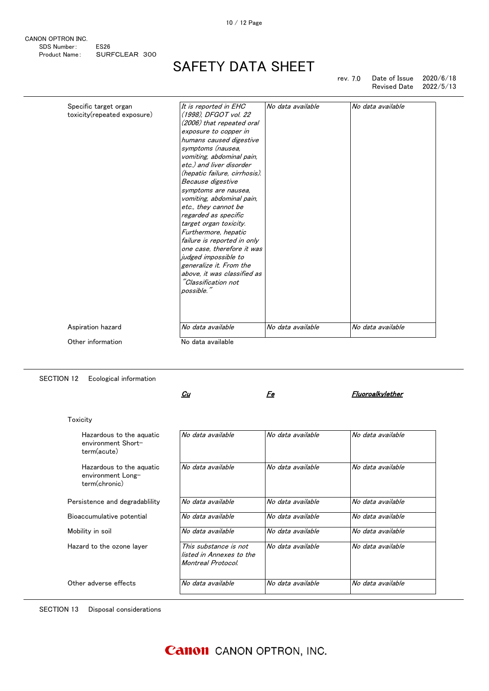CANON OPTRON INC. SDS Number: ES26 Product Name: SURFCLEAR 300

### SAFETY DATA SHEET

rev. 7.0 Date of Issue 2020/6/18 Revised Date

| Specific target organ       | It is reported in EHC         | No data available | No data available |
|-----------------------------|-------------------------------|-------------------|-------------------|
| toxicity(repeated exposure) | (1998), DFGOT vol. 22         |                   |                   |
|                             | (2006) that repeated oral     |                   |                   |
|                             | exposure to copper in         |                   |                   |
|                             | humans caused digestive       |                   |                   |
|                             | symptoms (nausea,             |                   |                   |
|                             | vomiting, abdominal pain,     |                   |                   |
|                             | etc.) and liver disorder      |                   |                   |
|                             | (hepatic failure, cirrhosis). |                   |                   |
|                             | Because digestive             |                   |                   |
|                             | symptoms are nausea,          |                   |                   |
|                             | vomiting, abdominal pain,     |                   |                   |
|                             | etc., they cannot be          |                   |                   |
|                             | regarded as specific          |                   |                   |
|                             | target organ toxicity.        |                   |                   |
|                             | Furthermore, hepatic          |                   |                   |
|                             | failure is reported in only   |                   |                   |
|                             | one case, therefore it was    |                   |                   |
|                             | judged impossible to          |                   |                   |
|                             | generalize it. From the       |                   |                   |
|                             | above, it was classified as   |                   |                   |
|                             | "Classification not           |                   |                   |
|                             | possible."                    |                   |                   |
|                             |                               |                   |                   |
|                             |                               |                   |                   |
| Aspiration hazard           | No data available             | No data available | No data available |
|                             |                               |                   |                   |

SECTION 12 Ecological information

 $\frac{C_{U}}{C_{U}}$ 

#### Fe Fluoroalkylether

| Toxicity                                                       |                                                                         |                   |                   |
|----------------------------------------------------------------|-------------------------------------------------------------------------|-------------------|-------------------|
| Hazardous to the aguatic<br>environment Short-<br>term(acute)  | No data available                                                       | No data available | No data available |
| Hazardous to the aguatic<br>environment Long-<br>term(chronic) | No data available                                                       | No data available | No data available |
| Persistence and degradability                                  | No data available                                                       | No data available | No data available |
| Bioaccumulative potential                                      | No data available                                                       | No data available | No data available |
| Mobility in soil                                               | No data available                                                       | No data available | No data available |
| Hazard to the ozone layer                                      | This substance is not<br>listed in Annexes to the<br>Montreal Protocol. | No data available | No data available |
| Other adverse effects                                          | No data available                                                       | No data available | No data available |

SECTION 13 Disposal considerations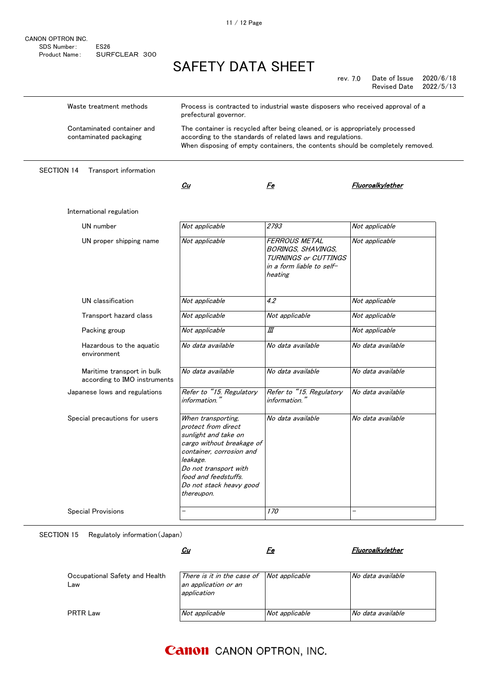| CANON OPTRON INC. |                  |  |
|-------------------|------------------|--|
| SDS Number:       | FS <sub>26</sub> |  |
| Product Name:     | SURFCLEAR 300    |  |

rev. 7.0 Date of Issue 2020/6/18 Revised Date

| Waste treatment methods                                    | Process is contracted to industrial waste disposers who received approval of a<br>prefectural governor.                                                                                                                          |                                                                                                                   |                          |  |
|------------------------------------------------------------|----------------------------------------------------------------------------------------------------------------------------------------------------------------------------------------------------------------------------------|-------------------------------------------------------------------------------------------------------------------|--------------------------|--|
| Contaminated container and<br>contaminated packaging       | The container is recycled after being cleaned, or is appropriately processed<br>according to the standards of related laws and regulations.<br>When disposing of empty containers, the contents should be completely removed.    |                                                                                                                   |                          |  |
| <b>SECTION 14</b><br>Transport information                 |                                                                                                                                                                                                                                  |                                                                                                                   |                          |  |
|                                                            | Cu                                                                                                                                                                                                                               | Fe                                                                                                                | Fluoroalkylether         |  |
| International regulation                                   |                                                                                                                                                                                                                                  |                                                                                                                   |                          |  |
| UN number                                                  | Not applicable                                                                                                                                                                                                                   | 2793                                                                                                              | Not applicable           |  |
| UN proper shipping name                                    | Not applicable                                                                                                                                                                                                                   | FERROUS METAL<br><b>BORINGS, SHAVINGS,</b><br><b>TURNINGS or CUTTINGS</b><br>in a form liable to self-<br>heating | Not applicable           |  |
| UN classification                                          | Not applicable                                                                                                                                                                                                                   | 4.2                                                                                                               | Not applicable           |  |
| Transport hazard class                                     | Not applicable                                                                                                                                                                                                                   | Not applicable                                                                                                    | Not applicable           |  |
| Packing group                                              | Not applicable                                                                                                                                                                                                                   | Ш                                                                                                                 | Not applicable           |  |
| Hazardous to the aquatic<br>environment                    | No data available                                                                                                                                                                                                                | No data available                                                                                                 | No data available        |  |
| Maritime transport in bulk<br>according to IMO instruments | No data available                                                                                                                                                                                                                | No data available                                                                                                 | No data available        |  |
| Japanese lows and regulations                              | Refer to "15. Regulatory<br>information."                                                                                                                                                                                        | Refer to "15. Regulatory<br>information."                                                                         | No data available        |  |
| Special precautions for users                              | When transporting,<br>protect from direct<br>sunlight and take on<br>cargo without breakage of<br>container, corrosion and<br>leakage.<br>Do not transport with<br>food and feedstuffs.<br>Do not stack heavy good<br>thereupon. | No data available                                                                                                 | No data available        |  |
| <b>Special Provisions</b>                                  | $\overline{\phantom{0}}$                                                                                                                                                                                                         | 170                                                                                                               | $\overline{\phantom{0}}$ |  |

SECTION 15 Regulatoly information(Japan)

|                                       | <u>Cu</u>                                                                                | Fe             | Fluoroalkvlether  |
|---------------------------------------|------------------------------------------------------------------------------------------|----------------|-------------------|
| Occupational Safety and Health<br>Law | There is it in the case of $\vert$ Not applicable<br>an application or an<br>application |                | No data available |
| <b>PRTR Law</b>                       | Not applicable                                                                           | Not applicable | No data available |